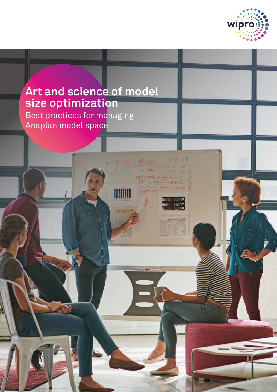

steel Edi

做  $\sin 6$ 

dom Litt of

 $2m + 1$ 

# **Art and science of model size optimization**

Best practices for managing Anaplan model space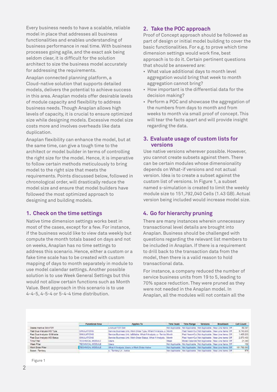Every business needs to have a scalable, reliable model in place that addresses all business functionalities and enables understanding of business performance in real time. With business processes going agile, and the exact ask being seldom clear, it is difficult for the solution architect to size the business model accurately for addressing the requirements.

Anaplan connected planning platform, a Cloud-native solution that supports detailed models, delivers the potential to achieve success in this area. Anaplan models offer desirable levels of module capacity and flexibility to address business needs. Though Anaplan allows high levels of capacity, it is crucial to ensure optimized size while designing models. Excessive model size costs more and involves overheads like data duplication.

Anaplan flexibility can enhance the model, but at the same time, can give a tough time to the architect or model builder in terms of controlling the right size for the model. Hence, it is imperative to follow certain methods meticulously to bring model to the right size that meets the requirements. Points discussed below, followed in chronological order, will drastically reduce the model size and ensure that model builders have followed the most optimized approach to designing and building models.

#### **1. Check on the time settings**

Native time dimension settings works best in most of the cases, except for a few. For instance, if the business would like to view data weekly but compute the month totals based on days and not on weeks, Anaplan has no time settings to address this scenario. Hence, either a custom or a fake time scale has to be created with custom mapping of days to month separately in module to use model calendar settings. Another possible solution is to use Week General Settings but this would not allow certain functions such as Month Value. Best approach in this scenario is to use 4-4-5, 4-5-4 or 5-4-4 time distribution.

#### **2. Take the POC approach**

Proof of Concept approach should be followed as part of design or initial model building to cover the basic functionalities. For e.g. to prove which time dimension settings would work fine, best approach is to do it. Certain pertinent questions that should be answered are:

- What value additional days to month level aggregation would bring that week to month aggregation cannot bring?
- How important is the differential data for the decision making?
- Perform a POC and showcase the aggregation of the numbers from days to month and from weeks to month via small proof of concept. This will tear the facts apart and will provide insight regarding the data.

#### **3. Evaluate usage of custom lists for versions**

Use native versions wherever possible. However, you cannot create subsets against them. There can be certain modules whose dimensionality depends on What-if versions and not actual version. Idea is to create a subset against the custom list of versions. In Figure 1, a subset named s-simulation is created to limit the weekly module size to 151,792,040 Cells (1.43 GB). Actual version being included would increase model size.

#### **4. Go for hierarchy pruning**

There are many instances wherein unnecessary transactional level details are brought into Anaplan. Business should be challenged with questions regarding the relevant list members to be included in Anaplan. If there is a requirement to drill back to the transaction data from the model, then there is a valid reason to hold transactional data.

For instance, a company reduced the number of service business units from 19 to 5, leading to 70% space reduction. They were pruned as they were not needed in the Anaplan model. In Anaplan, all the modules will not contain all the

|                                | <b>Functional Area</b> | Applies To                                                              | Time Soale     | Time Range | <b>Versions</b> | <b>Breakback</b>                                                    | Cell Count  |  |
|--------------------------------|------------------------|-------------------------------------------------------------------------|----------------|------------|-----------------|---------------------------------------------------------------------|-------------|--|
| Dalata Inactive Skil-FSR       |                        | <b>1 Actual FSR Skill</b>                                               | Not Applicable |            |                 | Not Applicable 19th Applicable 14ew Line terms Off                  | 69,397      |  |
| Past Due Analysis-WO Type      | SIMULATIONS:           | Service Dusiness Unit, Work Order Type, What-If Analysis, a Month       |                |            |                 | Past Years+Our Not Applicable 1New Line Items: Off                  | 5,740,000   |  |
| Past Due Analysis- IS Billable | <b>SIMULATIONS</b>     | Service Business Unit, IsBillable, What-If Analysis, s - Territor Month |                |            |                 | Past Years+Cor Not Applicable (New Line Barris, Off.)               | 1.435.200   |  |
| Past Due Analysis WO Status    | <b>SIMULATIONS</b>     | Service Business Unit, Work Order Status, What if Analysis, Month       |                |            |                 | Past Years+Cur Net Applicable New Line hems: Off                    | 2.870.400   |  |
| Time Filter                    | TECHNICAL MODULE       | Users.                                                                  | Week           |            |                 | Model Calendar Not Applicable : New Line hemit: Off                 | 21,340      |  |
| Week Filter                    | TECHNICAL MODULE.      | <b>Users</b>                                                            |                |            |                 | Not Applicable Not Applicable Wot Applicable Mew Line Berra: Off    | 132         |  |
| Work Order Filter              | TECHNICAL MODULE       | What If Analysis, Users, s-Work Onlin-Addre.                            |                |            |                 | Not Applicable 1Not Applicable 1Not Applicable 1Now Line Rems, Off. | 151,792,080 |  |
| Salant - Tambory               |                        | s. Territory L.I. - Aptive                                              |                |            |                 | Not Applicable Not Applicable Not Applicable New Line have: Off     | 575         |  |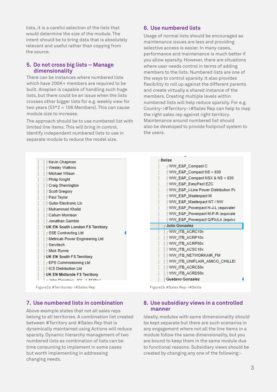lists, it is a careful selection of the lists that would determine the size of the module. The intent should be to bring data that is absolutely relevant and useful rather than copying from the source.

#### **5. Do not cross big lists – Manage dimensionality**

There can be instances where numbered lists which have 200K+ members are required to be built. Anaplan is capable of handling such huge lists, but there could be an issue when the lists crosses other bigger lists for e.g. weekly view for two years  $(53*2 = 106$  Members). This can cause module size to increase.

The approach should be to use numbered list with limited line items. This will bring in control. Identify independent numbered lists to use in separate module to reduce the model size.

#### **6. Use numbered lists**

Usage of normal lists should be encouraged as maintenance issues are less and providing selective access is easier. In many cases, performance and maintenance is much better if you allow sparsity. However, there are situations where user needs control in terms of adding members to the lists. Numbered lists are one of the ways to control sparsity. It also provides flexibility to roll up against the different parents and create virtually a shared instance of the members. Creating multiple levels within numbered lists will help reduce sparsity. For e.g. Country->#Territory->#Sales Rep can help to map the right sales rep against right territory. Maintenance around numbered list should also be developed to provide foolproof system to the users.



Figure2a #Territories->#Sales Rep Figure2b #Sales Rep->#Skills

#### **7. Use numbered lists in combination**

Above example states that not all sales reps belong to all territories. A combination list created between #Territory and #Sales Rep that is dynamically maintained using Actions will reduce sparsity. Dynamic hierarchy management of two numbered lists as combination of lists can be time consuming to implement in some cases but worth implementing in addressing changing needs.

| <b>Belize</b>                       |  |
|-------------------------------------|--|
| WW E&P Compact C                    |  |
| WW_E&P_Compact NS > 630             |  |
| WW_E&P_Compact NSX & NS < 630       |  |
| WW E&P EasyPact EZC                 |  |
| WW E&P I-Line Power Distribution Pa |  |
| WW E&P Masterpact M                 |  |
| WW_E&P_Masterpact NT / NW           |  |
| WW E&P Powerpact H-J-L (equivalen   |  |
| WW_E&P_Powerpact M-P-R (equivale    |  |
| WW_E&P_Powerpact Q/FA/LA (equiva-   |  |
| <b>Julio Gonzalez</b>               |  |
| <b>FWW_ITB_ACRC10x</b>              |  |
| WW_ITB_ACRP10x                      |  |
| WW ITB ACRP50x                      |  |
| WW ITB ACSC10x                      |  |
| ⊦ww itb networkair fm               |  |
| ⊦WW ITB UNIFLAIR AMICO CHILLEI      |  |
| WW_ITB_ACRC50x                      |  |
| WW_ITB_ACRD50x                      |  |
| <b>Gustavo Gonzalez</b>             |  |
|                                     |  |

#### **8. Use subsidiary views in a controlled manner**

Ideally, modules with same dimensionality should be kept separate but there are such scenarios in any engagement where not all the line items in a module follow the same dimensionality, but you are bound to keep them in the same module due to functional reasons. Subsidiary views should be created by changing any one of the following:-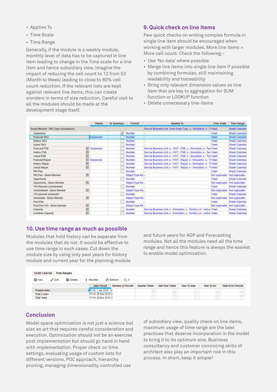- Applies To
- Time Scale
- Time Range

Generally, if the module is a weekly module, monthly level of data has to be captured in line item leading to change in the Time scale for a line item and hence subsidiary view. Imagine the impact of reducing the cell count to 12 from 53 (Month to Week) leading to close to 80% cell count reduction. If the relevant lists are kept against relevant line items, this can create wonders in terms of size reduction. Careful visit to all the modules should be made at the development stage itself.

### **9. Quick check on line items**

Few quick checks on writing complex formula in single line item should be encouraged when working with larger modules. More line items = More cell count. Check the following:-

- Use 'No data' where possible
- Merge line items into single line item if possible by combining formulas, still maintaining readability and traceability
- Bring only relevant dimension values as line item that are key to aggregation for SUM function or LOOKUP function
- Delete unnecessary line-items

|                                     |     | Parent    | <b>Is Summary</b>     | Format           | Applies To                                                            | <b>Time Scale</b> | <b>Time Range</b>     |
|-------------------------------------|-----|-----------|-----------------------|------------------|-----------------------------------------------------------------------|-------------------|-----------------------|
| Graph Module - WO Type (Simulation) |     |           |                       |                  | Service Business Unit, Work Order Type, s - Simulation, s - T Week    |                   | Model Calendar        |
| Unplanned                           |     |           | $\blacktriangleright$ | Number           | Week                                                                  |                   | Model Calendar        |
| Forecast SKU                        |     | Unplanned |                       | Number           | Week                                                                  |                   | Model Calendar        |
| <b>History SKU</b>                  |     |           |                       | Number           | Week                                                                  |                   | Model Calendar        |
| Actual SKU                          |     |           |                       | Number           | Week                                                                  |                   | Model Calendar        |
| Forecast FSB                        | 群   | Unplanned |                       | Humber           | Service Business Unit, s - WOT - FSB, s - Simulation, s - Ten Week    |                   | Model Calendar        |
| <b>History FSB</b>                  | 囲   |           |                       | Number           | Service Business Unit, s - WOT - FSB, s - Simulation, s - Ten Week    |                   | Model Calendar        |
| Actual FSB                          | 屈   |           |                       | Number           | Service Business Unit. s - WOT - FSB. s - Simulation, s - Ten Week    |                   | Model Calendar        |
| <b>Forecast Repair</b>              | 讚   | Unplanned |                       | Number           | Service Business Unit, s - WOT - Repair, a - Simulation, s - T-Week   |                   | Model Calendar        |
| History Repair                      | 饀   |           |                       | Number           | Service Business Unit, s - WOT - Repair, s - Simulation, s - T/Week   |                   | Model Calendar        |
| Actual Repair                       | 鈕   |           |                       | Number           | Service Business Unit s - WOT - Repair s - Simulation s - T/Vieek     |                   | Model Calendar        |
| <b>PM Plan</b>                      |     |           |                       | Number           | Week                                                                  |                   | Model Calendar        |
| PM Plan - Basis Member              | 翌   |           |                       | Coloct Type Re - |                                                                       | Not Applicable    | <b>Not Applicable</b> |
| Opportunity                         |     |           |                       | Number           | Week                                                                  |                   | Model Calendar        |
| Opportunity - Basis Member          | 囲   |           |                       | Object Type Re - |                                                                       | Not Applicable    | Not Applicable        |
| <b>WO Planned Unscheduled</b>       |     |           |                       | Number           | Week                                                                  |                   | Model Calendar        |
| Unscheduled - Basis Member          | 銆   |           |                       | Object Type Re - |                                                                       | Not Applicable    | Not Applicable        |
| WO planned scheduled                |     |           |                       | <b>Number</b>    | Week                                                                  |                   | Model Calendar        |
| Scheduled - Basis Member            | 韶   |           |                       | Object Type Re - |                                                                       | Not Applicable    | Not Applicable        |
| Past Due                            |     |           |                       | Number           | Week <sup>*</sup>                                                     |                   | Model Calendar        |
| Past Due WO - Basis Member          |     |           |                       | Object Type Re   |                                                                       | Not Applicable    | Not Applicable        |
| Capacity                            | 田田田 |           |                       | Number           | Service Business Unit, s - Simulation, s - Territory L4 - Active Week |                   | Model Calendar        |
| Overtime Capacity                   |     |           |                       | Number           | Service Business Unit, s - Simulation, s - Territory L4 - Active Week |                   | Model Calendar        |

#### **10. Use time range as much as possible**

Modules that hold history can be separate from the modules that do not. It would be effective to use time range in such cases. Cut down the module size by using only past years for history module and current year for the planning module and future years for AOP and Forecasting modules. Not all the modules need all the time range and hence this feature is always the easiest to enable model optimization.

| <b>O</b> Delete<br>$P$ Edit<br>C New | # Reorder. ( Refresh Q - |                          |                |                  |              |            |                             |
|--------------------------------------|--------------------------|--------------------------|----------------|------------------|--------------|------------|-----------------------------|
|                                      | <b>Start Period</b>      | <b>Number of Periods</b> | Quarter Totals | Half-Year Totals | Year To Date | Year To Go | <b>Total of All Periods</b> |
| Present years                        | FY18: 1 Jan 2018 1       |                          |                |                  |              |            |                             |
| Past 2 years                         | FY16: 28 Dec 2015 2      |                          |                |                  |              |            |                             |
|                                      |                          |                          |                |                  |              |            |                             |

### **Conclusion**

Model space optimization is not just a science but also an art that requires careful consideration and execution. Optimization should not be an exercise post implementation but should go hand in hand with implementation. Proper check on time settings, evaluating usage of custom lists for different versions, POC approach, hierarchy pruning, managing dimensionality, controlled use 4

of subsidiary view, quality check on line items, maximum usage of time range are the best practices that deserve incorporation in the model to bring it to its optimum size. Business consultancy and customer convincing skills of architect also play an important role in this process. In short, keep it simple!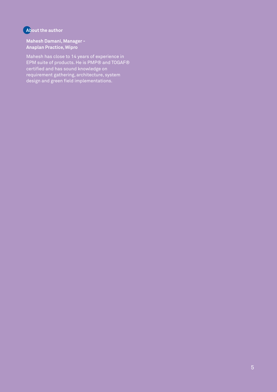## **About the author**

**Mahesh Damani, Manager - Anaplan Practice, Wipro** 

Mahesh has close to 14 years of experience in EPM suite of products. He is PMP® and TOGAF® certified and has sound knowledge on requirement gathering, architecture, system design and green field implementations.